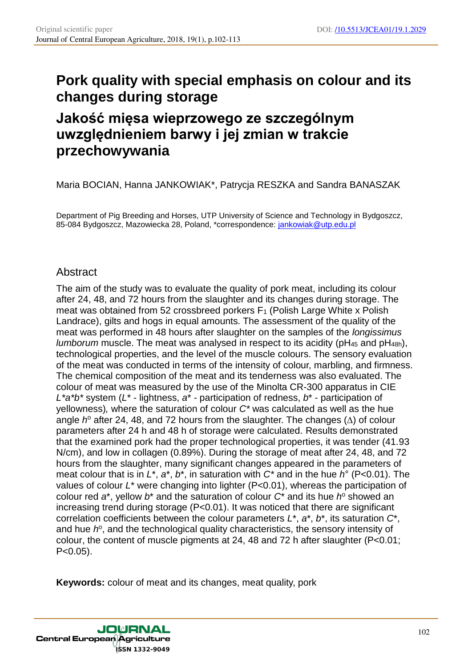# **Pork quality with special emphasis on colour and its changes during storage**

# **Jakość mięsa wieprzowego ze szczególnym uwzględnieniem barwy i jej zmian w trakcie przechowywania**

Maria BOCIAN, Hanna JANKOWIAK\*, Patrycja RESZKA and Sandra BANASZAK

Department of Pig Breeding and Horses, UTP University of Science and Technology in Bydgoszcz, 85-084 Bydgoszcz, Mazowiecka 28, Poland, \*correspondence: jankowiak@utp.edu.pl

# Abstract

The aim of the study was to evaluate the quality of pork meat, including its colour after 24, 48, and 72 hours from the slaughter and its changes during storage. The meat was obtained from 52 crossbreed porkers  $F_1$  (Polish Large White x Polish Landrace), gilts and hogs in equal amounts. The assessment of the quality of the meat was performed in 48 hours after slaughter on the samples of the *longissimus lumborum* muscle. The meat was analysed in respect to its acidity (pH<sub>45</sub> and pH<sub>48h</sub>), technological properties, and the level of the muscle colours. The sensory evaluation of the meat was conducted in terms of the intensity of colour, marbling, and firmness. The chemical composition of the meat and its tenderness was also evaluated. The colour of meat was measured by the use of the Minolta CR-300 apparatus in CIE *L\*a\*b\** system (*L*\* - lightness, *a*\* - participation of redness, *b*\* - participation of yellowness)*,* where the saturation of colour *C\** was calculated as well as the hue angle *h* <sup>o</sup> after 24, 48, and 72 hours from the slaughter. The changes (*∆*) of colour parameters after 24 h and 48 h of storage were calculated. Results demonstrated that the examined pork had the proper technological properties, it was tender (41.93 N/cm), and low in collagen (0.89%). During the storage of meat after 24, 48, and 72 hours from the slaughter, many significant changes appeared in the parameters of meat colour that is in *L*\*, *a*\*, *b*\*, in saturation with *C\** and in the hue *h*° (P<0.01). The values of colour *L*\* were changing into lighter (P<0.01), whereas the participation of colour red *a*\*, yellow *b*\* and the saturation of colour *C*\* and its hue *h* <sup>o</sup> showed an increasing trend during storage (P<0.01). It was noticed that there are significant correlation coefficients between the colour parameters *L*\*, *a*\*, *b*\*, its saturation *C*\*, and hue  $h^{\circ}$ , and the technological quality characteristics, the sensory intensity of colour, the content of muscle pigments at 24, 48 and 72 h after slaughter (P<0.01;  $P < 0.05$ ).

**Keywords:** colour of meat and its changes, meat quality, pork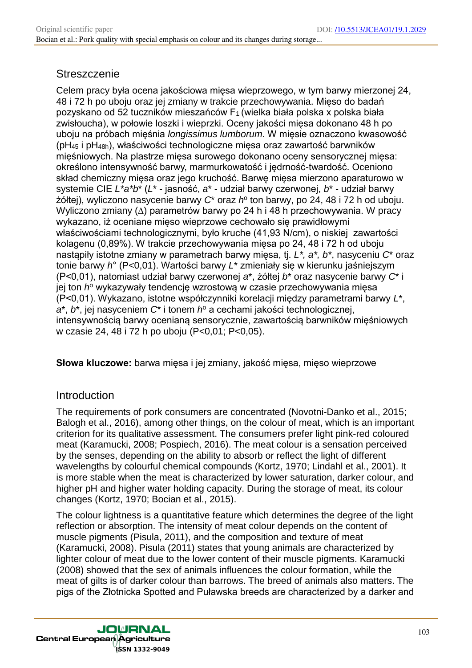#### **Streszczenie**

Celem pracy była ocena jakościowa mięsa wieprzowego, w tym barwy mierzonej 24, 48 i 72 h po uboju oraz jej zmiany w trakcie przechowywania. Mięso do badań pozyskano od 52 tuczników mieszańców F1 (wielka biała polska x polska biała zwisłoucha), w połowie loszki i wieprzki. Oceny jakości mięsa dokonano 48 h po uboju na próbach mięśnia *longissimus lumborum*. W mięsie oznaczono kwasowość ( $pH_{45}$  i  $pH_{48h}$ ), właściwości technologiczne mięsa oraz zawartość barwników mięśniowych. Na plastrze mięsa surowego dokonano oceny sensorycznej mięsa: określono intensywność barwy, marmurkowatość i jędrność-twardość. Oceniono skład chemiczny mięsa oraz jego kruchość. Barwę mięsa mierzono aparaturowo w systemie CIE *L\*a\*b*\* (*L*\* - jasność, *a*\* - udział barwy czerwonej, *b*\* - udział barwy żółtej), wyliczono nasycenie barwy *C*\* oraz *h*<sup>o</sup> ton barwy, po 24, 48 i 72 h od uboju. Wyliczono zmiany (*∆*) parametrów barwy po 24 h i 48 h przechowywania. W pracy wykazano, iż oceniane mięso wieprzowe cechowało się prawidłowymi właściwościami technologicznymi, było kruche (41,93 N/cm), o niskiej zawartości kolagenu (0,89%). W trakcie przechowywania mięsa po 24, 48 i 72 h od uboju nastąpiły istotne zmiany w parametrach barwy mięsa, tj. *L\*, a\*, b\**, nasyceniu *C*\* oraz tonie barwy *h*° (P<0,01). Wartości barwy *L*\* zmieniały się w kierunku jaśniejszym (P<0,01), natomiast udział barwy czerwonej *a*\*, żółtej *b*\* oraz nasycenie barwy *C*\* i jej ton *h*º wykazywały tendencję wzrostową w czasie przechowywania mięsa (P<0,01). Wykazano, istotne współczynniki korelacji między parametrami barwy *L*\*, *a*\*, *b*\*, jej nasyceniem *C*\* i tonem *h* <sup>o</sup> a cechami jakości technologicznej, intensywnością barwy ocenianą sensorycznie, zawartością barwników mięśniowych w czasie 24, 48 i 72 h po uboju (P<0,01; P<0,05).

**Słowa kluczowe:** barwa mięsa i jej zmiany, jakość mięsa, mięso wieprzowe

### Introduction

The requirements of pork consumers are concentrated (Novotni-Danko et al., 2015; Balogh et al., 2016), among other things, on the colour of meat, which is an important criterion for its qualitative assessment. The consumers prefer light pink-red coloured meat (Karamucki, 2008; Pospiech, 2016). The meat colour is a sensation perceived by the senses, depending on the ability to absorb or reflect the light of different wavelengths by colourful chemical compounds (Kortz, 1970; Lindahl et al., 2001). It is more stable when the meat is characterized by lower saturation, darker colour, and higher pH and higher water holding capacity. During the storage of meat, its colour changes (Kortz, 1970; Bocian et al., 2015).

The colour lightness is a quantitative feature which determines the degree of the light reflection or absorption. The intensity of meat colour depends on the content of muscle pigments (Pisula, 2011), and the composition and texture of meat (Karamucki, 2008). Pisula (2011) states that young animals are characterized by lighter colour of meat due to the lower content of their muscle pigments. Karamucki (2008) showed that the sex of animals influences the colour formation, while the meat of gilts is of darker colour than barrows. The breed of animals also matters. The pigs of the Złotnicka Spotted and Puławska breeds are characterized by a darker and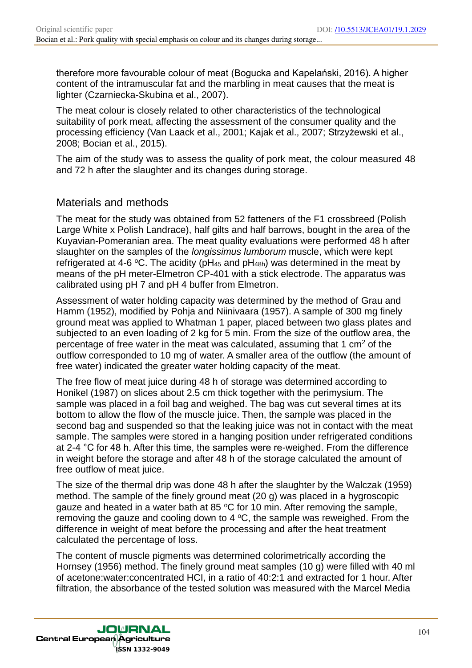therefore more favourable colour of meat (Bogucka and Kapelański, 2016). A higher content of the intramuscular fat and the marbling in meat causes that the meat is lighter (Czarniecka-Skubina et al., 2007).

The meat colour is closely related to other characteristics of the technological suitability of pork meat, affecting the assessment of the consumer quality and the processing efficiency (Van Laack et al., 2001; Kajak et al., 2007; Strzyżewski et al., 2008; Bocian et al., 2015).

The aim of the study was to assess the quality of pork meat, the colour measured 48 and 72 h after the slaughter and its changes during storage.

### Materials and methods

The meat for the study was obtained from 52 fatteners of the F1 crossbreed (Polish Large White x Polish Landrace), half gilts and half barrows, bought in the area of the Kuyavian-Pomeranian area. The meat quality evaluations were performed 48 h after slaughter on the samples of the *longissimus lumborum* muscle, which were kept refrigerated at 4-6 °C. The acidity (pH<sub>45</sub> and pH<sub>48h</sub>) was determined in the meat by means of the pH meter-Elmetron CP-401 with a stick electrode. The apparatus was calibrated using pH 7 and pH 4 buffer from Elmetron.

Assessment of water holding capacity was determined by the method of Grau and Hamm (1952), modified by Pohja and Niinivaara (1957). A sample of 300 mg finely ground meat was applied to Whatman 1 paper, placed between two glass plates and subjected to an even loading of 2 kg for 5 min. From the size of the outflow area, the percentage of free water in the meat was calculated, assuming that 1  $\text{cm}^2$  of the outflow corresponded to 10 mg of water. A smaller area of the outflow (the amount of free water) indicated the greater water holding capacity of the meat.

The free flow of meat juice during 48 h of storage was determined according to Honikel (1987) on slices about 2.5 cm thick together with the perimysium. The sample was placed in a foil bag and weighed. The bag was cut several times at its bottom to allow the flow of the muscle juice. Then, the sample was placed in the second bag and suspended so that the leaking juice was not in contact with the meat sample. The samples were stored in a hanging position under refrigerated conditions at 2-4 °C for 48 h. After this time, the samples were re-weighed. From the difference in weight before the storage and after 48 h of the storage calculated the amount of free outflow of meat juice.

The size of the thermal drip was done 48 h after the slaughter by the Walczak (1959) method. The sample of the finely ground meat (20 g) was placed in a hygroscopic gauze and heated in a water bath at 85  $\degree$ C for 10 min. After removing the sample, removing the gauze and cooling down to  $4^{\circ}$ C, the sample was reweighed. From the difference in weight of meat before the processing and after the heat treatment calculated the percentage of loss.

The content of muscle pigments was determined colorimetrically according the Hornsey (1956) method. The finely ground meat samples (10 g) were filled with 40 ml of acetone:water:concentrated HCI, in a ratio of 40:2:1 and extracted for 1 hour. After filtration, the absorbance of the tested solution was measured with the Marcel Media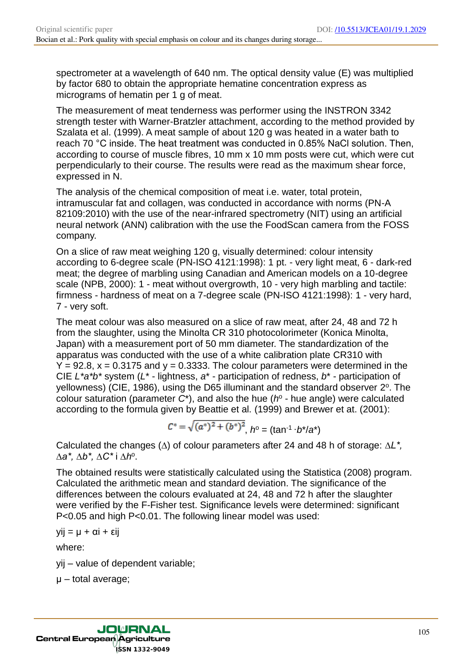spectrometer at a wavelength of 640 nm. The optical density value (E) was multiplied by factor 680 to obtain the appropriate hematine concentration express as micrograms of hematin per 1 g of meat.

The measurement of meat tenderness was performer using the INSTRON 3342 strength tester with Warner-Bratzler attachment, according to the method provided by Szalata et al. (1999). A meat sample of about 120 g was heated in a water bath to reach 70 °C inside. The heat treatment was conducted in 0.85% NaCl solution. Then, according to course of muscle fibres, 10 mm x 10 mm posts were cut, which were cut perpendicularly to their course. The results were read as the maximum shear force, expressed in N.

The analysis of the chemical composition of meat i.e. water, total protein, intramuscular fat and collagen, was conducted in accordance with norms (PN-A 82109:2010) with the use of the near-infrared spectrometry (NIT) using an artificial neural network (ANN) calibration with the use the FoodScan camera from the FOSS company.

On a slice of raw meat weighing 120 g, visually determined: colour intensity according to 6-degree scale (PN-ISO 4121:1998): 1 pt. - very light meat, 6 - dark-red meat; the degree of marbling using Canadian and American models on a 10-degree scale (NPB, 2000): 1 - meat without overgrowth, 10 - very high marbling and tactile: firmness - hardness of meat on a 7-degree scale (PN-ISO 4121:1998): 1 - very hard, 7 - very soft.

The meat colour was also measured on a slice of raw meat, after 24, 48 and 72 h from the slaughter, using the Minolta CR 310 photocolorimeter (Konica Minolta, Japan) with a measurement port of 50 mm diameter. The standardization of the apparatus was conducted with the use of a white calibration plate CR310 with  $Y = 92.8$ ,  $x = 0.3175$  and  $y = 0.3333$ . The colour parameters were determined in the CIE *L\*a\*b\** system (*L*\* - lightness, *a*\* - participation of redness, *b*\* - participation of yellowness) (CIE, 1986), using the D65 illuminant and the standard observer 2°. The colour saturation (parameter  $C^*$ ), and also the hue ( $h^{\circ}$  - hue angle) were calculated according to the formula given by Beattie et al. (1999) and Brewer et at. (2001):

$$
C^* = \sqrt{(a^*)^2 + (b^*)^2}, \quad h^{\circ} = (\tan^{-1} \cdot b^* / a^*)
$$

Calculated the changes (*∆*) of colour parameters after 24 and 48 h of storage: *∆L\*, ∆a\*, ∆b\*, ∆C\** i *∆h*<sup>o</sup> .

The obtained results were statistically calculated using the Statistica (2008) program. Calculated the arithmetic mean and standard deviation. The significance of the differences between the colours evaluated at 24, 48 and 72 h after the slaughter were verified by the F-Fisher test. Significance levels were determined: significant P<0.05 and high P<0.01. The following linear model was used:

 $yij = μ + αi + εij$ 

where:

yij – value of dependent variable;

μ – total average;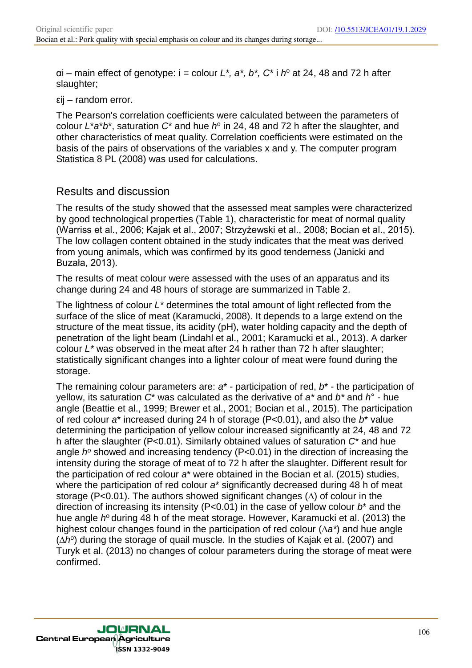$ai$  – main effect of genotype:  $i$  = colour  $L^*$ ,  $a^*$ ,  $b^*$ ,  $C^*$  i  $h^o$  at 24, 48 and 72 h after slaughter;

εij – random error.

The Pearson's correlation coefficients were calculated between the parameters of colour  $L^*a^*b^*$ , saturation  $C^*$  and hue  $h^{\circ}$  in 24, 48 and 72 h after the slaughter, and other characteristics of meat quality. Correlation coefficients were estimated on the basis of the pairs of observations of the variables x and y. The computer program Statistica 8 PL (2008) was used for calculations.

## Results and discussion

The results of the study showed that the assessed meat samples were characterized by good technological properties (Table 1), characteristic for meat of normal quality (Warriss et al., 2006; Kajak et al., 2007; Strzyżewski et al., 2008; Bocian et al., 2015). The low collagen content obtained in the study indicates that the meat was derived from young animals, which was confirmed by its good tenderness (Janicki and Buzała, 2013).

The results of meat colour were assessed with the uses of an apparatus and its change during 24 and 48 hours of storage are summarized in Table 2.

The lightness of colour *L\** determines the total amount of light reflected from the surface of the slice of meat (Karamucki, 2008). It depends to a large extend on the structure of the meat tissue, its acidity (pH), water holding capacity and the depth of penetration of the light beam (Lindahl et al., 2001; Karamucki et al., 2013). A darker colour *L\** was observed in the meat after 24 h rather than 72 h after slaughter; statistically significant changes into a lighter colour of meat were found during the storage.

The remaining colour parameters are: *a*\* - participation of red, *b*\* - the participation of yellow, its saturation *C*\* was calculated as the derivative of *a\** and *b\** and *h*° - hue angle (Beattie et al., 1999; Brewer et al., 2001; Bocian et al., 2015). The participation of red colour *a*\* increased during 24 h of storage (P<0.01), and also the *b*\* value determining the participation of yellow colour increased significantly at 24, 48 and 72 h after the slaughter (P<0.01). Similarly obtained values of saturation *C*\* and hue angle *h*<sup>o</sup> showed and increasing tendency (P<0.01) in the direction of increasing the intensity during the storage of meat of to 72 h after the slaughter. Different result for the participation of red colour *a*\* were obtained in the Bocian et al. (2015) studies, where the participation of red colour  $a^*$  significantly decreased during 48 h of meat storage (P<0.01). The authors showed significant changes (*∆*) of colour in the direction of increasing its intensity (P<0.01) in the case of yellow colour *b*\* and the hue angle *h*<sup>o</sup> during 48 h of the meat storage. However, Karamucki et al. (2013) the highest colour changes found in the participation of red colour (*∆a\**) and hue angle ( $\Delta h^{\circ}$ ) during the storage of quail muscle. In the studies of Kajak et al. (2007) and Turyk et al. (2013) no changes of colour parameters during the storage of meat were confirmed.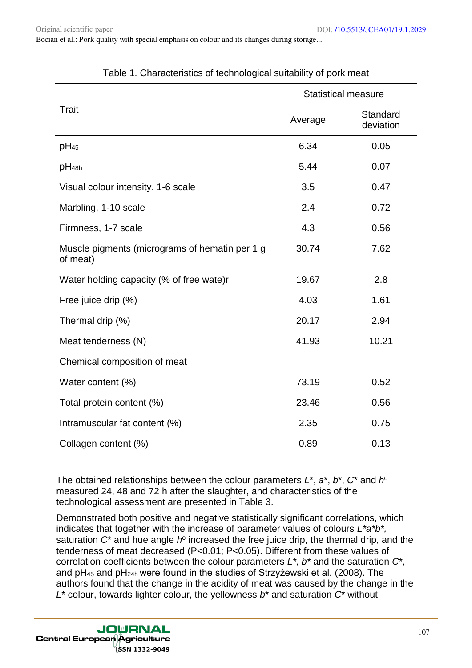|                                                            | <b>Statistical measure</b> |                       |  |
|------------------------------------------------------------|----------------------------|-----------------------|--|
| <b>Trait</b>                                               | Average                    | Standard<br>deviation |  |
| $pH_{45}$                                                  | 6.34                       | 0.05                  |  |
| pH <sub>48h</sub>                                          | 5.44                       | 0.07                  |  |
| Visual colour intensity, 1-6 scale                         | 3.5                        | 0.47                  |  |
| Marbling, 1-10 scale                                       | 2.4                        | 0.72                  |  |
| Firmness, 1-7 scale                                        | 4.3                        | 0.56                  |  |
| Muscle pigments (micrograms of hematin per 1 g<br>of meat) | 30.74                      | 7.62                  |  |
| Water holding capacity (% of free wate)r                   | 19.67                      | 2.8                   |  |
| Free juice drip (%)                                        | 4.03                       | 1.61                  |  |
| Thermal drip (%)                                           | 20.17                      | 2.94                  |  |
| Meat tenderness (N)                                        | 41.93                      | 10.21                 |  |
| Chemical composition of meat                               |                            |                       |  |
| Water content (%)                                          | 73.19                      | 0.52                  |  |
| Total protein content (%)                                  | 23.46                      | 0.56                  |  |
| Intramuscular fat content (%)                              | 2.35                       | 0.75                  |  |
| Collagen content (%)                                       | 0.89                       | 0.13                  |  |

#### Table 1. Characteristics of technological suitability of pork meat

The obtained relationships between the colour parameters *L*\*, *a*\*, *b*\*, *C*\* and *h* o measured 24, 48 and 72 h after the slaughter, and characteristics of the technological assessment are presented in Table 3.

Demonstrated both positive and negative statistically significant correlations, which indicates that together with the increase of parameter values of colours *L\*a\*b\*,*  saturation C<sup>\*</sup> and hue angle h<sup>o</sup> increased the free juice drip, the thermal drip, and the tenderness of meat decreased (P<0.01; P<0.05). Different from these values of correlation coefficients between the colour parameters *L\*, b\** and the saturation *C*\*, and pH<sub>45</sub> and pH<sub>24h</sub> were found in the studies of Strzyżewski et al. (2008). The authors found that the change in the acidity of meat was caused by the change in the *L*\* colour, towards lighter colour, the yellowness *b*\* and saturation *C*\* without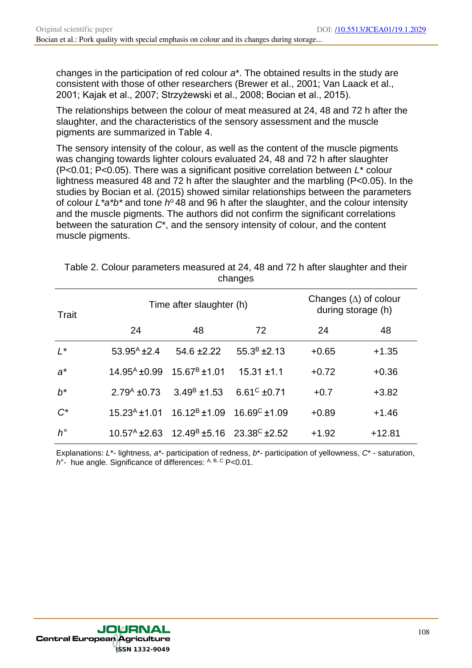changes in the participation of red colour *a*\*. The obtained results in the study are consistent with those of other researchers (Brewer et al., 2001; Van Laack et al., 2001; Kajak et al., 2007; Strzyżewski et al., 2008; Bocian et al., 2015).

The relationships between the colour of meat measured at 24, 48 and 72 h after the slaughter, and the characteristics of the sensory assessment and the muscle pigments are summarized in Table 4.

The sensory intensity of the colour, as well as the content of the muscle pigments was changing towards lighter colours evaluated 24, 48 and 72 h after slaughter (P<0.01; P<0.05). There was a significant positive correlation between *L*\* colour lightness measured 48 and 72 h after the slaughter and the marbling (P<0.05). In the studies by Bocian et al. (2015) showed similar relationships between the parameters of colour L<sup>\*</sup>a<sup>\*</sup>b<sup>\*</sup> and tone h<sup>o</sup> 48 and 96 h after the slaughter, and the colour intensity and the muscle pigments. The authors did not confirm the significant correlations between the saturation *C*\*, and the sensory intensity of colour, and the content muscle pigments.

| Trait       |                                                   | Time after slaughter (h)                                                      | Changes $(\Delta)$ of colour<br>during storage (h) |         |          |
|-------------|---------------------------------------------------|-------------------------------------------------------------------------------|----------------------------------------------------|---------|----------|
|             | 24                                                | 48                                                                            | 72                                                 | 24      | 48       |
| $L^*$       | $53.95^{\text{A}}$ ±2.4                           | $54.6 \pm 2.22$                                                               | $55.3^B \pm 2.13$                                  | $+0.65$ | $+1.35$  |
| $a^*$       | $14.95^{\text{A}}$ ±0.99 $15.67^{\text{B}}$ ±1.01 |                                                                               | $15.31 \pm 1.1$                                    | $+0.72$ | $+0.36$  |
| $h^*$       | $2.79A$ ±0.73                                     | $3.49^{\text{B}}$ ±1.53                                                       | $6.61^{\circ}$ ±0.71                               | $+0.7$  | $+3.82$  |
| $C^*$       |                                                   | $15.23^{A}$ ±1.01 $16.12^{B}$ ±1.09 $16.69^{C}$ ±1.09                         |                                                    | $+0.89$ | $+1.46$  |
| $h^{\circ}$ |                                                   | $10.57^{\text{A}}$ ± 2.63 $12.49^{\text{B}}$ ± 5.16 $23.38^{\text{C}}$ ± 2.52 |                                                    | $+1.92$ | $+12.81$ |

Table 2. Colour parameters measured at 24, 48 and 72 h after slaughter and their changes

Explanations: *L*\*- lightness*, a*\*- participation of redness, *b*\*- participation of yellowness, *C*\* - saturation, *h*<sup>°</sup>- hue angle. Significance of differences: A, B, C P<0.01.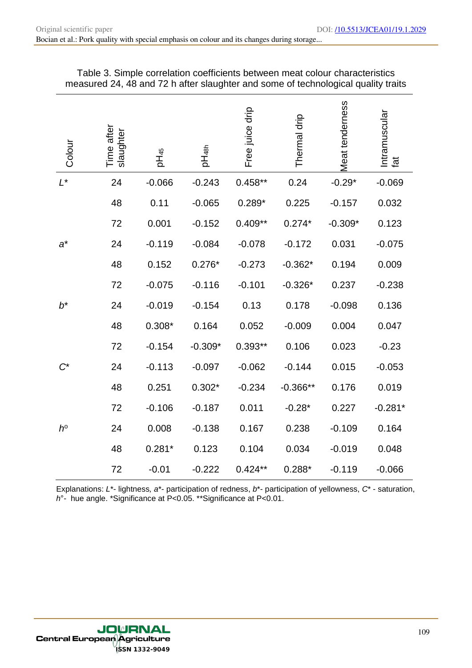| Colour      | Time after<br>slaughter | pH <sub>45</sub> | pH <sub>48h</sub> | Free juice drip | Thermal drip | <b>Meat tenderness</b> | Intramuscular<br>tat |
|-------------|-------------------------|------------------|-------------------|-----------------|--------------|------------------------|----------------------|
| $L^*$       | 24                      | $-0.066$         | $-0.243$          | $0.458**$       | 0.24         | $-0.29*$               | $-0.069$             |
|             | 48                      | 0.11             | $-0.065$          | $0.289*$        | 0.225        | $-0.157$               | 0.032                |
|             | 72                      | 0.001            | $-0.152$          | $0.409**$       | $0.274*$     | $-0.309*$              | 0.123                |
| $a^*$       | 24                      | $-0.119$         | $-0.084$          | $-0.078$        | $-0.172$     | 0.031                  | $-0.075$             |
|             | 48                      | 0.152            | $0.276*$          | $-0.273$        | $-0.362*$    | 0.194                  | 0.009                |
|             | 72                      | $-0.075$         | $-0.116$          | $-0.101$        | $-0.326*$    | 0.237                  | $-0.238$             |
| $b^*$       | 24                      | $-0.019$         | $-0.154$          | 0.13            | 0.178        | $-0.098$               | 0.136                |
|             | 48                      | $0.308*$         | 0.164             | 0.052           | $-0.009$     | 0.004                  | 0.047                |
|             | 72                      | $-0.154$         | $-0.309*$         | $0.393**$       | 0.106        | 0.023                  | $-0.23$              |
|             | 24                      | $-0.113$         | $-0.097$          | $-0.062$        | $-0.144$     | 0.015                  | $-0.053$             |
|             | 48                      | 0.251            | $0.302*$          | $-0.234$        | $-0.366**$   | 0.176                  | 0.019                |
|             | 72                      | $-0.106$         | $-0.187$          | 0.011           | $-0.28*$     | 0.227                  | $-0.281*$            |
| $h^{\circ}$ | 24                      | 0.008            | $-0.138$          | 0.167           | 0.238        | $-0.109$               | 0.164                |
|             | 48                      | $0.281*$         | 0.123             | 0.104           | 0.034        | $-0.019$               | 0.048                |
|             | 72                      | $-0.01$          | $-0.222$          | $0.424**$       | $0.288*$     | $-0.119$               | $-0.066$             |

| Table 3. Simple correlation coefficients between meat colour characteristics      |  |
|-----------------------------------------------------------------------------------|--|
| measured 24, 48 and 72 h after slaughter and some of technological quality traits |  |

Explanations: *L*\*- lightness*, a*\*- participation of redness, *b*\*- participation of yellowness, *C*\* - saturation, *h*°- hue angle. \*Significance at P<0.05. \*\*Significance at P<0.01.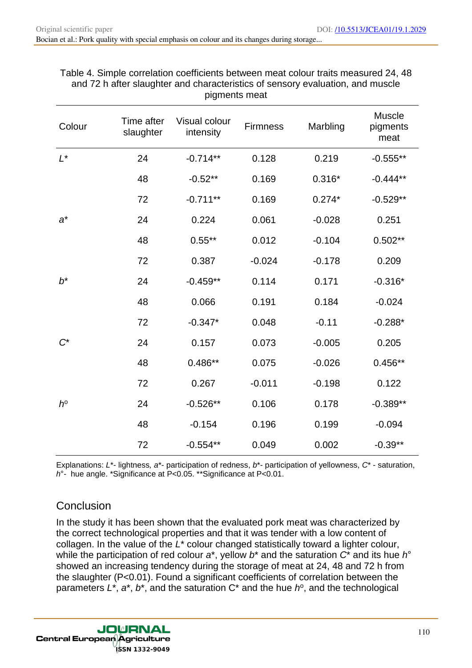| Colour      | Time after<br>slaughter | Visual colour<br>intensity | <b>Firmness</b> | Marbling | Muscle<br>pigments<br>meat |
|-------------|-------------------------|----------------------------|-----------------|----------|----------------------------|
| $L^*$       | 24                      | $-0.714**$                 | 0.128           | 0.219    | $-0.555**$                 |
|             | 48                      | $-0.52**$                  | 0.169           | $0.316*$ | $-0.444**$                 |
|             | 72                      | $-0.711**$                 | 0.169           | $0.274*$ | $-0.529**$                 |
| $a^*$       | 24                      | 0.224                      | 0.061           | $-0.028$ | 0.251                      |
|             | 48                      | $0.55***$                  | 0.012           | $-0.104$ | $0.502**$                  |
|             | 72                      | 0.387                      | $-0.024$        | $-0.178$ | 0.209                      |
| $b^*$       | 24                      | $-0.459**$                 | 0.114           | 0.171    | $-0.316*$                  |
|             | 48                      | 0.066                      | 0.191           | 0.184    | $-0.024$                   |
|             | 72                      | $-0.347*$                  | 0.048           | $-0.11$  | $-0.288*$                  |
| $C^*$       | 24                      | 0.157                      | 0.073           | $-0.005$ | 0.205                      |
|             | 48                      | $0.486**$                  | 0.075           | $-0.026$ | $0.456**$                  |
|             | 72                      | 0.267                      | $-0.011$        | $-0.198$ | 0.122                      |
| $h^{\circ}$ | 24                      | $-0.526**$                 | 0.106           | 0.178    | $-0.389**$                 |
|             | 48                      | $-0.154$                   | 0.196           | 0.199    | $-0.094$                   |
|             | 72                      | $-0.554**$                 | 0.049           | 0.002    | $-0.39**$                  |

#### Table 4. Simple correlation coefficients between meat colour traits measured 24, 48 and 72 h after slaughter and characteristics of sensory evaluation, and muscle pigments meat

Explanations: *L*\*- lightness*, a*\*- participation of redness, *b*\*- participation of yellowness, *C*\* - saturation, *h*°- hue angle. \*Significance at P<0.05. \*\*Significance at P<0.01.

# **Conclusion**

In the study it has been shown that the evaluated pork meat was characterized by the correct technological properties and that it was tender with a low content of collagen. In the value of the *L*\* colour changed statistically toward a lighter colour, while the participation of red colour *a*\*, yellow *b*\* and the saturation *C*\* and its hue *h*° showed an increasing tendency during the storage of meat at 24, 48 and 72 h from the slaughter (P<0.01). Found a significant coefficients of correlation between the parameters  $L^*$ ,  $a^*$ ,  $b^*$ , and the saturation  $C^*$  and the hue  $h^0$ , and the technological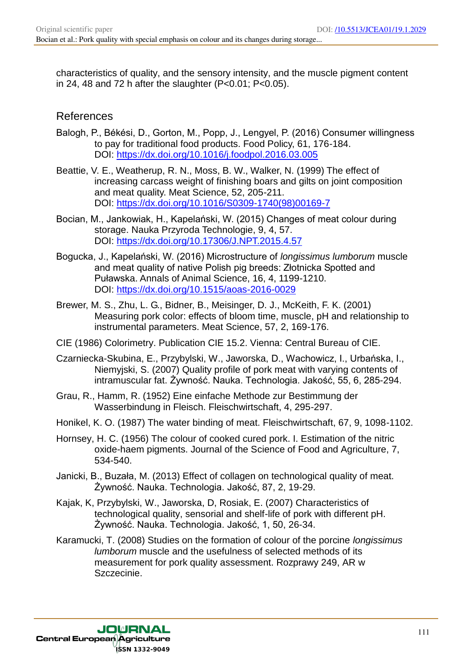characteristics of quality, and the sensory intensity, and the muscle pigment content in 24, 48 and 72 h after the slaughter  $(P<0.01; P<0.05)$ .

### References

- Balogh, P., Békési, D., Gorton, M., Popp, J., Lengyel, P. (2016) Consumer willingness to pay for traditional food products. Food Policy, 61, 176-184. DOI: https://dx.doi.org/10.1016/j.foodpol.2016.03.005
- Beattie, V. E., Weatherup, R. N., Moss, B. W., Walker, N. (1999) The effect of increasing carcass weight of finishing boars and gilts on joint composition and meat quality. Meat Science, 52, 205-211. DOI: https://dx.doi.org/10.1016/S0309-1740(98)00169-7
- Bocian, M., Jankowiak, H., Kapelański, W. (2015) Changes of meat colour during storage. Nauka Przyroda Technologie, 9, 4, 57. DOI: https://dx.doi.org/10.17306/J.NPT.2015.4.57
- Bogucka, J., Kapelański, W. (2016) Microstructure of *longissimus lumborum* muscle and meat quality of native Polish pig breeds: Złotnicka Spotted and Puławska. Annals of Animal Science, 16, 4, 1199-1210. DOI: https://dx.doi.org/10.1515/aoas-2016-0029
- Brewer, M. S., Zhu, L. G., Bidner, B., Meisinger, D. J., McKeith, F. K. (2001) Measuring pork color: effects of bloom time, muscle, pH and relationship to instrumental parameters. Meat Science, 57, 2, 169-176.
- CIE (1986) Colorimetry. Publication CIE 15.2. Vienna: Central Bureau of CIE.
- Czarniecka-Skubina, E., Przybylski, W., Jaworska, D., Wachowicz, I., Urbańska, I., Niemyjski, S. (2007) Quality profile of pork meat with varying contents of intramuscular fat. Żywność. Nauka. Technologia. Jakość, 55, 6, 285-294.
- Grau, R., Hamm, R. (1952) Eine einfache Methode zur Bestimmung der Wasserbindung in Fleisch. Fleischwirtschaft, 4, 295-297.
- Honikel, K. O. (1987) The water binding of meat. Fleischwirtschaft, 67, 9, 1098-1102.
- Hornsey, H. C. (1956) The colour of cooked cured pork. I. Estimation of the nitric oxide-haem pigments. Journal of the Science of Food and Agriculture, 7, 534-540.
- Janicki, B., Buzała, M. (2013) Effect of collagen on technological quality of meat. Żywność. Nauka. Technologia. Jakość, 87, 2, 19-29.
- Kajak, K, Przybylski, W., Jaworska, D, Rosiak, E. (2007) Characteristics of technological quality, sensorial and shelf-life of pork with different pH. Żywność. Nauka. Technologia. Jakość, 1, 50, 26-34.
- Karamucki, T. (2008) Studies on the formation of colour of the porcine *longissimus lumborum* muscle and the usefulness of selected methods of its measurement for pork quality assessment. Rozprawy 249, AR w Szczecinie.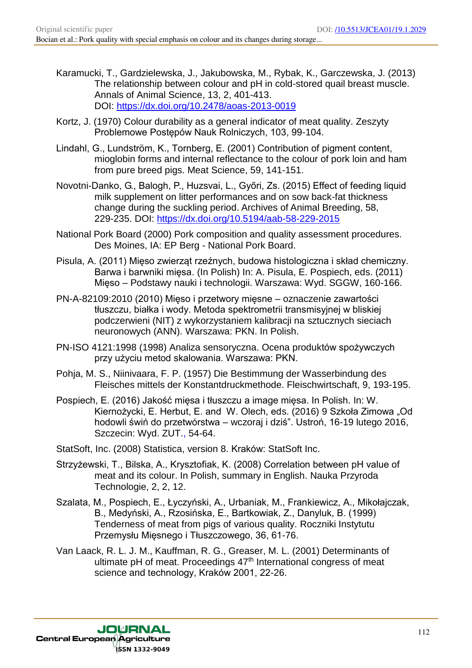- Karamucki, T., Gardzielewska, J., Jakubowska, M., Rybak, K., Garczewska, J. (2013) The relationship between colour and pH in cold-stored quail breast muscle. Annals of Animal Science, 13, 2, 401-413. DOI: https://dx.doi.org/10.2478/aoas-2013-0019
- Kortz, J. (1970) Colour durability as a general indicator of meat quality. Zeszyty Problemowe Postępów Nauk Rolniczych, 103, 99-104.
- Lindahl, G., Lundström, K., Tornberg, E. (2001) Contribution of pigment content, mioglobin forms and internal reflectance to the colour of pork loin and ham from pure breed pigs. Meat Science, 59, 141-151.
- Novotni-Danko, G., Balogh, P., Huzsvai, L., Győri, Zs. (2015) Effect of feeding liquid milk supplement on litter performances and on sow back-fat thickness change during the suckling period. Archives of Animal Breeding, 58, 229-235. DOI: https://dx.doi.org/10.5194/aab-58-229-2015
- National Pork Board (2000) Pork composition and quality assessment procedures. Des Moines, IA: EP Berg - National Pork Board.
- Pisula, A. (2011) Mięso zwierząt rzeźnych, budowa histologiczna i skład chemiczny. Barwa i barwniki mięsa. (In Polish) In: A. Pisula, E. Pospiech, eds. (2011) Mięso – Podstawy nauki i technologii. Warszawa: Wyd. SGGW, 160-166.
- PN-A-82109:2010 (2010) Mięso i przetwory mięsne oznaczenie zawartości tłuszczu, białka i wody. Metoda spektrometrii transmisyjnej w bliskiej podczerwieni (NIT) z wykorzystaniem kalibracji na sztucznych sieciach neuronowych (ANN). Warszawa: PKN. In Polish.
- PN-ISO 4121:1998 (1998) Analiza sensoryczna. Ocena produktów spożywczych przy użyciu metod skalowania. Warszawa: PKN.
- Pohja, M. S., Niinivaara, F. P. (1957) Die Bestimmung der Wasserbindung des Fleisches mittels der Konstantdruckmethode. Fleischwirtschaft, 9, 193-195.
- Pospiech, E. (2016) Jakość mięsa i tłuszczu a image mięsa. In Polish. In: W. Kiernożycki, E. Herbut, E. and W. Olech, eds. (2016) 9 Szkoła Zimowa "Od hodowli świń do przetwórstwa – wczoraj i dziś". Ustroń, 16-19 lutego 2016, Szczecin: Wyd. ZUT., 54-64.
- StatSoft, Inc. (2008) Statistica, version 8. Kraków: StatSoft Inc.
- Strzyżewski, T., Bilska, A., Krysztofiak, K. (2008) Correlation between pH value of meat and its colour. In Polish, summary in English. Nauka Przyroda Technologie, 2, 2, 12.
- Szalata, M., Pospiech, E., Łyczyński, A., Urbaniak, M., Frankiewicz, A., Mikołajczak, B., Medyński, A., Rzosińska, E., Bartkowiak, Z., Danyluk, B. (1999) Tenderness of meat from pigs of various quality. Roczniki Instytutu Przemysłu Mięsnego i Tłuszczowego, 36, 61-76.
- Van Laack, R. L. J. M., Kauffman, R. G., Greaser, M. L. (2001) Determinants of ultimate pH of meat. Proceedings 47<sup>th</sup> International congress of meat science and technology, Kraków 2001, 22-26.